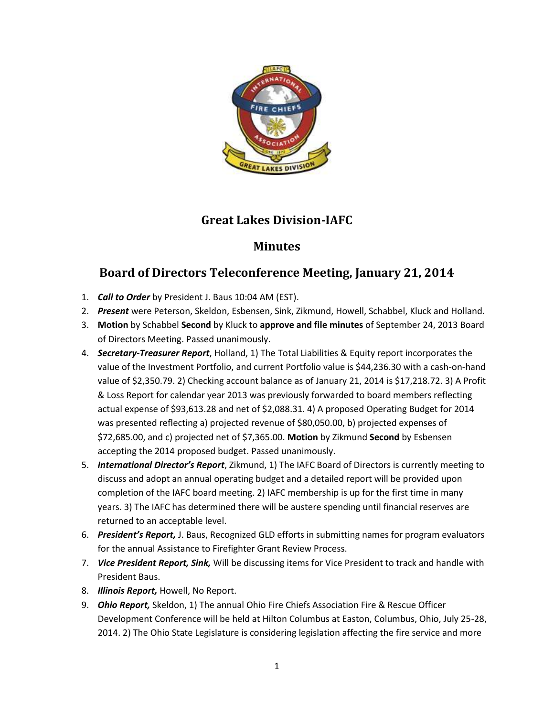

## **Great Lakes Division-IAFC**

## **Minutes**

## **Board of Directors Teleconference Meeting, January 21, 2014**

- 1. *Call to Order* by President J. Baus 10:04 AM (EST).
- 2. *Present* were Peterson, Skeldon, Esbensen, Sink, Zikmund, Howell, Schabbel, Kluck and Holland.
- 3. **Motion** by Schabbel **Second** by Kluck to **approve and file minutes** of September 24, 2013 Board of Directors Meeting. Passed unanimously.
- 4. *Secretary-Treasurer Report*, Holland, 1) The Total Liabilities & Equity report incorporates the value of the Investment Portfolio, and current Portfolio value is \$44,236.30 with a cash-on-hand value of \$2,350.79. 2) Checking account balance as of January 21, 2014 is \$17,218.72. 3) A Profit & Loss Report for calendar year 2013 was previously forwarded to board members reflecting actual expense of \$93,613.28 and net of \$2,088.31. 4) A proposed Operating Budget for 2014 was presented reflecting a) projected revenue of \$80,050.00, b) projected expenses of \$72,685.00, and c) projected net of \$7,365.00. **Motion** by Zikmund **Second** by Esbensen accepting the 2014 proposed budget. Passed unanimously.
- 5. *International Director's Report*, Zikmund, 1) The IAFC Board of Directors is currently meeting to discuss and adopt an annual operating budget and a detailed report will be provided upon completion of the IAFC board meeting. 2) IAFC membership is up for the first time in many years. 3) The IAFC has determined there will be austere spending until financial reserves are returned to an acceptable level.
- 6. *President's Report,* J. Baus, Recognized GLD efforts in submitting names for program evaluators for the annual Assistance to Firefighter Grant Review Process.
- 7. *Vice President Report, Sink,* Will be discussing items for Vice President to track and handle with President Baus.
- 8. *Illinois Report,* Howell, No Report.
- 9. *Ohio Report,* Skeldon, 1) The annual Ohio Fire Chiefs Association Fire & Rescue Officer Development Conference will be held at Hilton Columbus at Easton, Columbus, Ohio, July 25-28, 2014. 2) The Ohio State Legislature is considering legislation affecting the fire service and more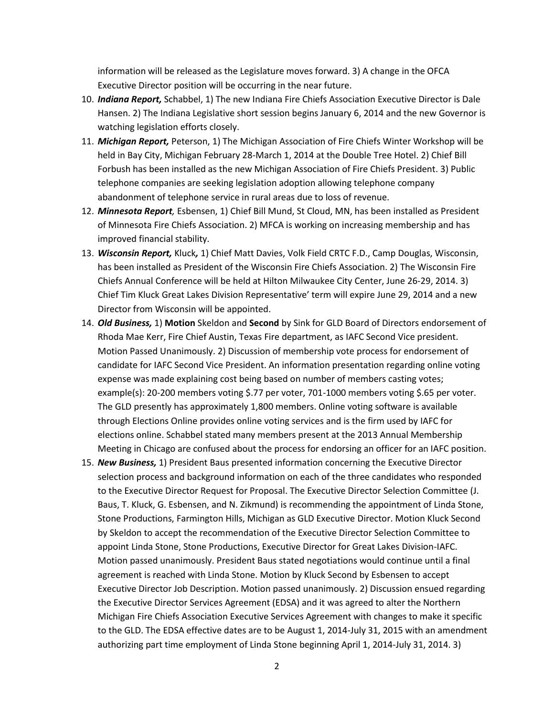information will be released as the Legislature moves forward. 3) A change in the OFCA Executive Director position will be occurring in the near future.

- 10. *Indiana Report,* Schabbel, 1) The new Indiana Fire Chiefs Association Executive Director is Dale Hansen. 2) The Indiana Legislative short session begins January 6, 2014 and the new Governor is watching legislation efforts closely.
- 11. *Michigan Report,* Peterson, 1) The Michigan Association of Fire Chiefs Winter Workshop will be held in Bay City, Michigan February 28-March 1, 2014 at the Double Tree Hotel. 2) Chief Bill Forbush has been installed as the new Michigan Association of Fire Chiefs President. 3) Public telephone companies are seeking legislation adoption allowing telephone company abandonment of telephone service in rural areas due to loss of revenue.
- 12. *Minnesota Report,* Esbensen, 1) Chief Bill Mund, St Cloud, MN, has been installed as President of Minnesota Fire Chiefs Association. 2) MFCA is working on increasing membership and has improved financial stability.
- 13. *Wisconsin Report,* Kluck*,* 1) Chief Matt Davies, Volk Field CRTC F.D., Camp Douglas, Wisconsin, has been installed as President of the Wisconsin Fire Chiefs Association. 2) The Wisconsin Fire Chiefs Annual Conference will be held at Hilton Milwaukee City Center, June 26-29, 2014. 3) Chief Tim Kluck Great Lakes Division Representative' term will expire June 29, 2014 and a new Director from Wisconsin will be appointed.
- 14. *Old Business,* 1) **Motion** Skeldon and **Second** by Sink for GLD Board of Directors endorsement of Rhoda Mae Kerr, Fire Chief Austin, Texas Fire department, as IAFC Second Vice president. Motion Passed Unanimously. 2) Discussion of membership vote process for endorsement of candidate for IAFC Second Vice President. An information presentation regarding online voting expense was made explaining cost being based on number of members casting votes; example(s): 20-200 members voting \$.77 per voter, 701-1000 members voting \$.65 per voter. The GLD presently has approximately 1,800 members. Online voting software is available through Elections Online provides online voting services and is the firm used by IAFC for elections online. Schabbel stated many members present at the 2013 Annual Membership Meeting in Chicago are confused about the process for endorsing an officer for an IAFC position.
- 15. *New Business,* 1) President Baus presented information concerning the Executive Director selection process and background information on each of the three candidates who responded to the Executive Director Request for Proposal. The Executive Director Selection Committee (J. Baus, T. Kluck, G. Esbensen, and N. Zikmund) is recommending the appointment of Linda Stone, Stone Productions, Farmington Hills, Michigan as GLD Executive Director. Motion Kluck Second by Skeldon to accept the recommendation of the Executive Director Selection Committee to appoint Linda Stone, Stone Productions, Executive Director for Great Lakes Division-IAFC. Motion passed unanimously. President Baus stated negotiations would continue until a final agreement is reached with Linda Stone. Motion by Kluck Second by Esbensen to accept Executive Director Job Description. Motion passed unanimously. 2) Discussion ensued regarding the Executive Director Services Agreement (EDSA) and it was agreed to alter the Northern Michigan Fire Chiefs Association Executive Services Agreement with changes to make it specific to the GLD. The EDSA effective dates are to be August 1, 2014-July 31, 2015 with an amendment authorizing part time employment of Linda Stone beginning April 1, 2014-July 31, 2014. 3)